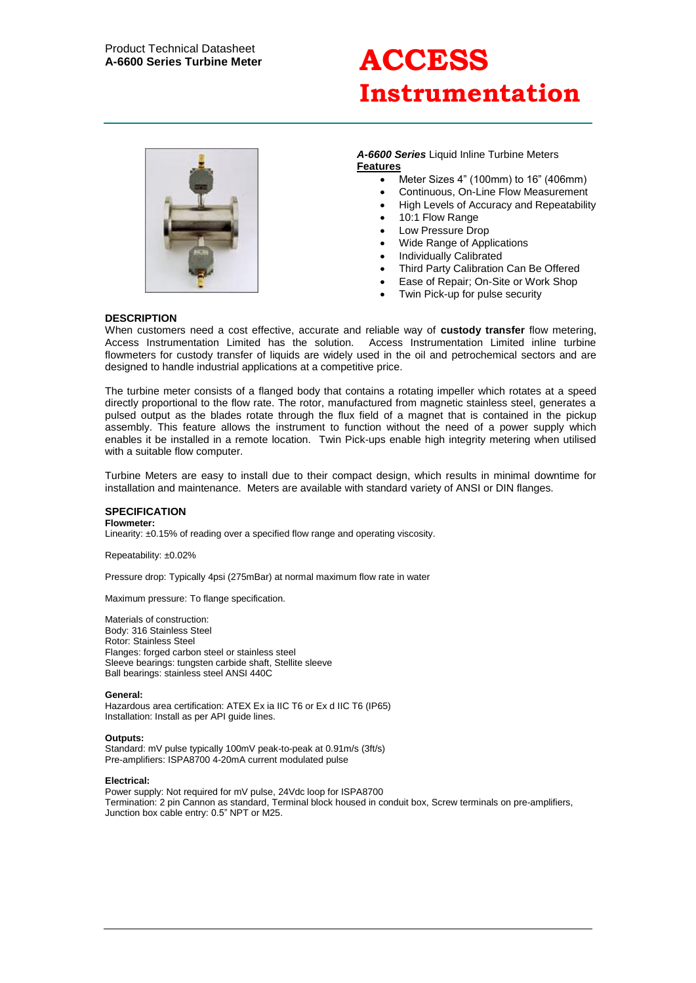# **Instrumentation**



### *A-6600 Series* Liquid Inline Turbine Meters **Features**

- Meter Sizes 4" (100mm) to 16" (406mm)
- Continuous, On-Line Flow Measurement
- High Levels of Accuracy and Repeatability
- 10:1 Flow Range
- Low Pressure Drop
- Wide Range of Applications
- Individually Calibrated
- Third Party Calibration Can Be Offered
- Ease of Repair; On-Site or Work Shop
- Twin Pick-up for pulse security

## **DESCRIPTION**

When customers need a cost effective, accurate and reliable way of **custody transfer** flow metering, Access Instrumentation Limited has the solution. Access Instrumentation Limited inline turbine flowmeters for custody transfer of liquids are widely used in the oil and petrochemical sectors and are designed to handle industrial applications at a competitive price.

The turbine meter consists of a flanged body that contains a rotating impeller which rotates at a speed directly proportional to the flow rate. The rotor, manufactured from magnetic stainless steel, generates a pulsed output as the blades rotate through the flux field of a magnet that is contained in the pickup assembly. This feature allows the instrument to function without the need of a power supply which enables it be installed in a remote location. Twin Pick-ups enable high integrity metering when utilised with a suitable flow computer.

Turbine Meters are easy to install due to their compact design, which results in minimal downtime for installation and maintenance. Meters are available with standard variety of ANSI or DIN flanges.

# **SPECIFICATION**

**Flowmeter:**

Linearity: ±0.15% of reading over a specified flow range and operating viscosity.

Repeatability: ±0.02%

Pressure drop: Typically 4psi (275mBar) at normal maximum flow rate in water

Maximum pressure: To flange specification.

Materials of construction: Body: 316 Stainless Steel Rotor: Stainless Steel Flanges: forged carbon steel or stainless steel Sleeve bearings: tungsten carbide shaft, Stellite sleeve Ball bearings: stainless steel ANSI 440C

**General:**

Hazardous area certification: ATEX Ex ia IIC T6 or Ex d IIC T6 (IP65) Installation: Install as per API guide lines.

#### **Outputs:**

Standard: mV pulse typically 100mV peak-to-peak at 0.91m/s (3ft/s) Pre-amplifiers: ISPA8700 4-20mA current modulated pulse

#### **Electrical:**

Power supply: Not required for mV pulse, 24Vdc loop for ISPA8700 Termination: 2 pin Cannon as standard, Terminal block housed in conduit box, Screw terminals on pre-amplifiers, Junction box cable entry: 0.5" NPT or M25.